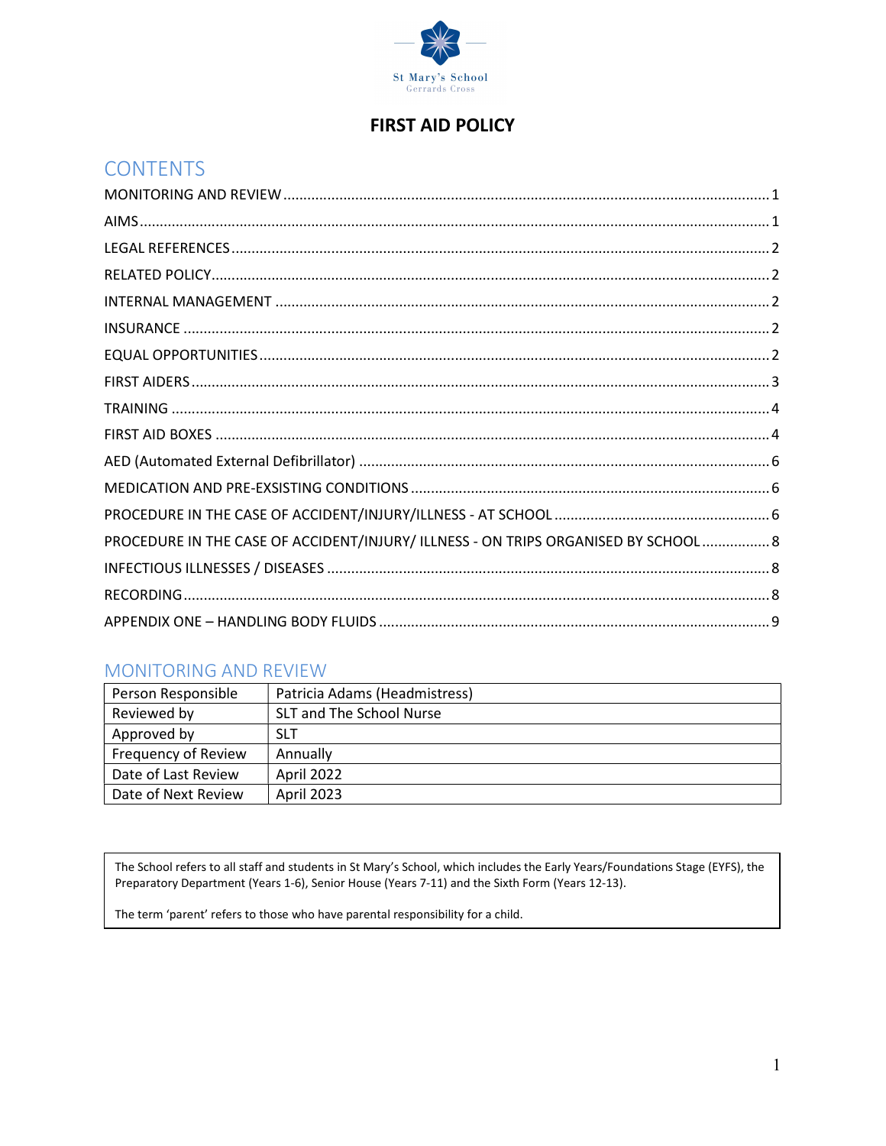

# **FIRST AID POLICY**

# **CONTENTS**

| PROCEDURE IN THE CASE OF ACCIDENT/INJURY/ ILLNESS - ON TRIPS ORGANISED BY SCHOOL 8 |  |
|------------------------------------------------------------------------------------|--|
|                                                                                    |  |
|                                                                                    |  |
|                                                                                    |  |

## **MONITORING AND REVIEW**

| Person Responsible         | Patricia Adams (Headmistress) |
|----------------------------|-------------------------------|
| Reviewed by                | SLT and The School Nurse      |
| Approved by                | <b>SLT</b>                    |
| <b>Frequency of Review</b> | Annually                      |
| Date of Last Review        | April 2022                    |
| Date of Next Review        | April 2023                    |

The School refers to all staff and students in St Mary's School, which includes the Early Years/Foundations Stage (EYFS), the Preparatory Department (Years 1-6), Senior House (Years 7-11) and the Sixth Form (Years 12-13).

The term 'parent' refers to those who have parental responsibility for a child.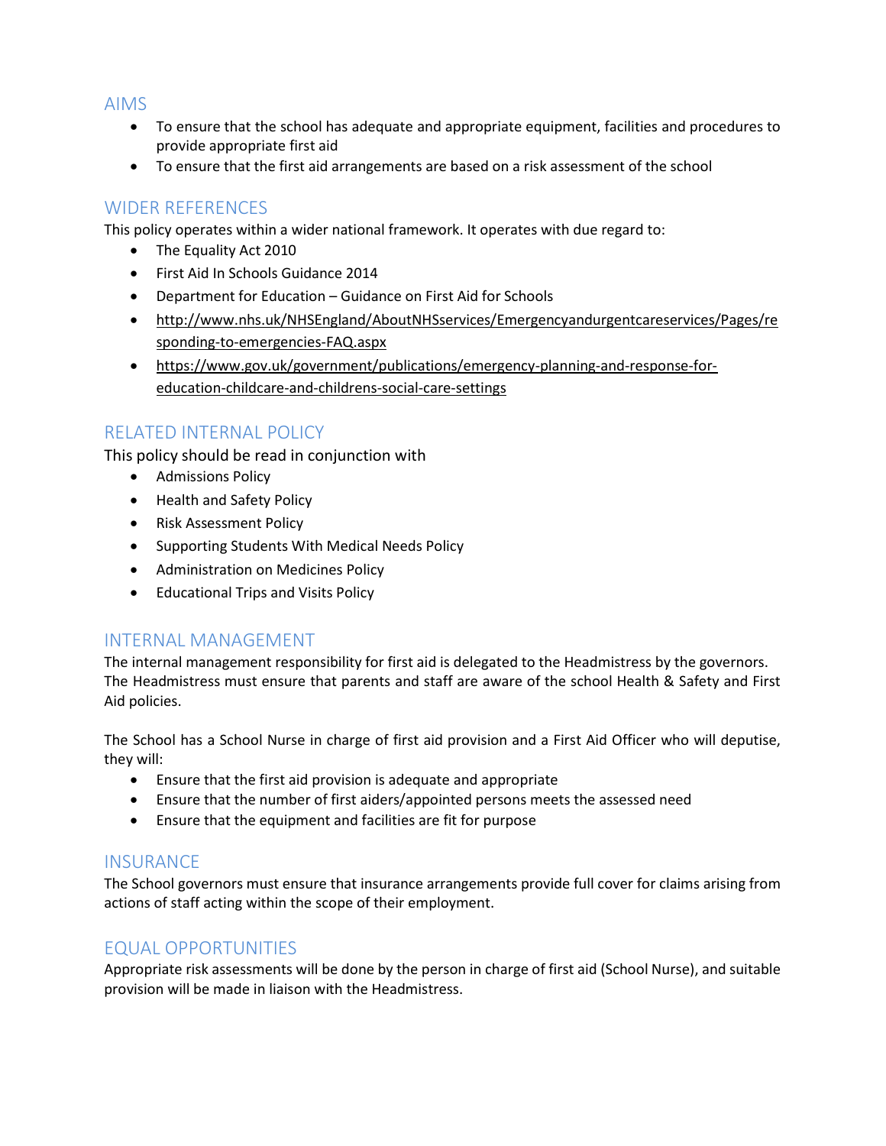### AIMS

- To ensure that the school has adequate and appropriate equipment, facilities and procedures to provide appropriate first aid
- To ensure that the first aid arrangements are based on a risk assessment of the school

## WIDER REFERENCES

This policy operates within a wider national framework. It operates with due regard to:

- The Equality Act 2010
- First Aid In Schools Guidance 2014
- Department for Education Guidance on First Aid for Schools
- http://www.nhs.uk/NHSEngland/AboutNHSservices/Emergencyandurgentcareservices/Pages/re sponding-to-emergencies-FAQ.aspx
- https://www.gov.uk/government/publications/emergency-planning-and-response-foreducation-childcare-and-childrens-social-care-settings

## RELATED INTERNAL POLICY

This policy should be read in conjunction with

- **•** Admissions Policy
- Health and Safety Policy
- Risk Assessment Policy
- Supporting Students With Medical Needs Policy
- Administration on Medicines Policy
- Educational Trips and Visits Policy

## INTERNAL MANAGEMENT

The internal management responsibility for first aid is delegated to the Headmistress by the governors. The Headmistress must ensure that parents and staff are aware of the school Health & Safety and First Aid policies.

The School has a School Nurse in charge of first aid provision and a First Aid Officer who will deputise, they will:

- Ensure that the first aid provision is adequate and appropriate
- Ensure that the number of first aiders/appointed persons meets the assessed need
- Ensure that the equipment and facilities are fit for purpose

## **INSURANCE**

The School governors must ensure that insurance arrangements provide full cover for claims arising from actions of staff acting within the scope of their employment.

## EQUAL OPPORTUNITIES

Appropriate risk assessments will be done by the person in charge of first aid (School Nurse), and suitable provision will be made in liaison with the Headmistress.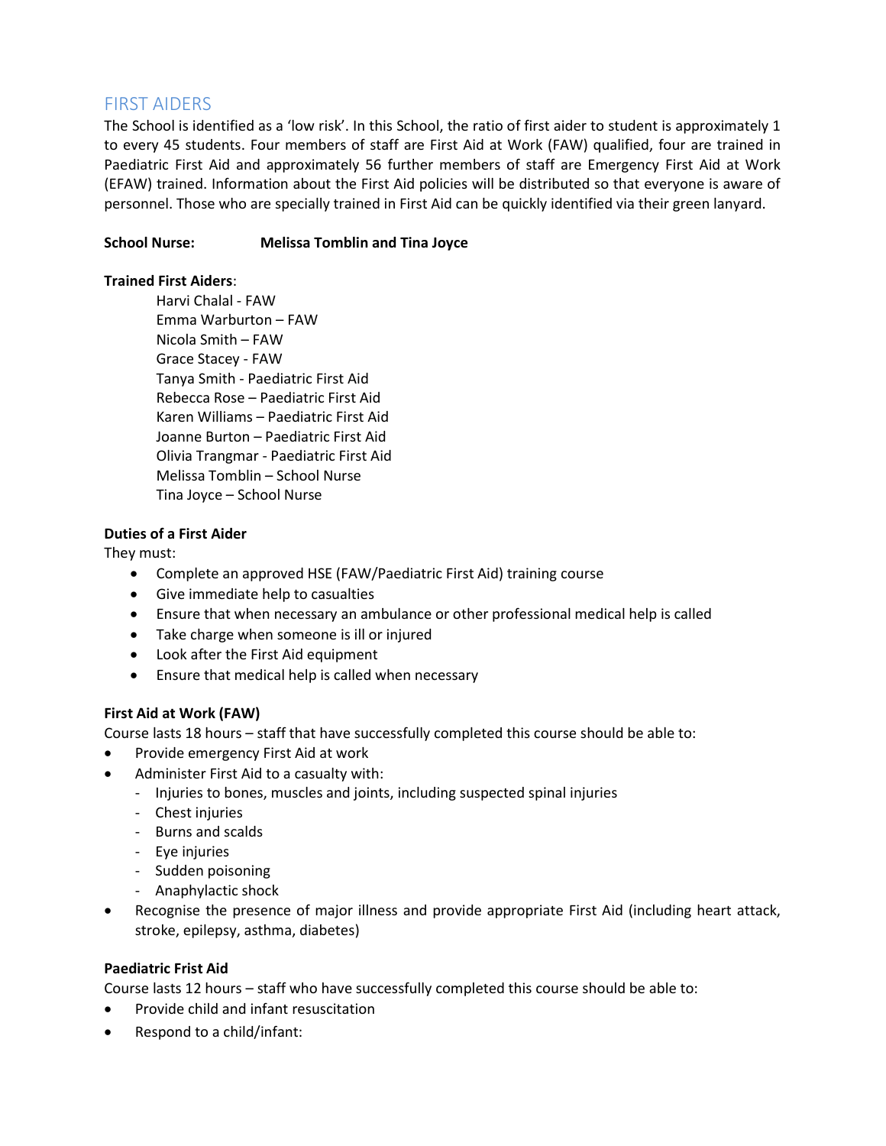## FIRST AIDERS

The School is identified as a 'low risk'. In this School, the ratio of first aider to student is approximately 1 to every 45 students. Four members of staff are First Aid at Work (FAW) qualified, four are trained in Paediatric First Aid and approximately 56 further members of staff are Emergency First Aid at Work (EFAW) trained. Information about the First Aid policies will be distributed so that everyone is aware of personnel. Those who are specially trained in First Aid can be quickly identified via their green lanyard.

### School Nurse: Melissa Tomblin and Tina Joyce

### Trained First Aiders:

Harvi Chalal - FAW Emma Warburton – FAW Nicola Smith – FAW Grace Stacey - FAW Tanya Smith - Paediatric First Aid Rebecca Rose – Paediatric First Aid Karen Williams – Paediatric First Aid Joanne Burton – Paediatric First Aid Olivia Trangmar - Paediatric First Aid Melissa Tomblin – School Nurse Tina Joyce – School Nurse

### Duties of a First Aider

They must:

- Complete an approved HSE (FAW/Paediatric First Aid) training course
- Give immediate help to casualties
- Ensure that when necessary an ambulance or other professional medical help is called
- Take charge when someone is ill or injured
- Look after the First Aid equipment
- Ensure that medical help is called when necessary

### First Aid at Work (FAW)

Course lasts 18 hours – staff that have successfully completed this course should be able to:

- Provide emergency First Aid at work
- Administer First Aid to a casualty with:
	- Injuries to bones, muscles and joints, including suspected spinal injuries
	- Chest injuries
	- Burns and scalds
	- Eye injuries
	- Sudden poisoning
	- Anaphylactic shock
- Recognise the presence of major illness and provide appropriate First Aid (including heart attack, stroke, epilepsy, asthma, diabetes)

### Paediatric Frist Aid

Course lasts 12 hours – staff who have successfully completed this course should be able to:

- Provide child and infant resuscitation
- Respond to a child/infant: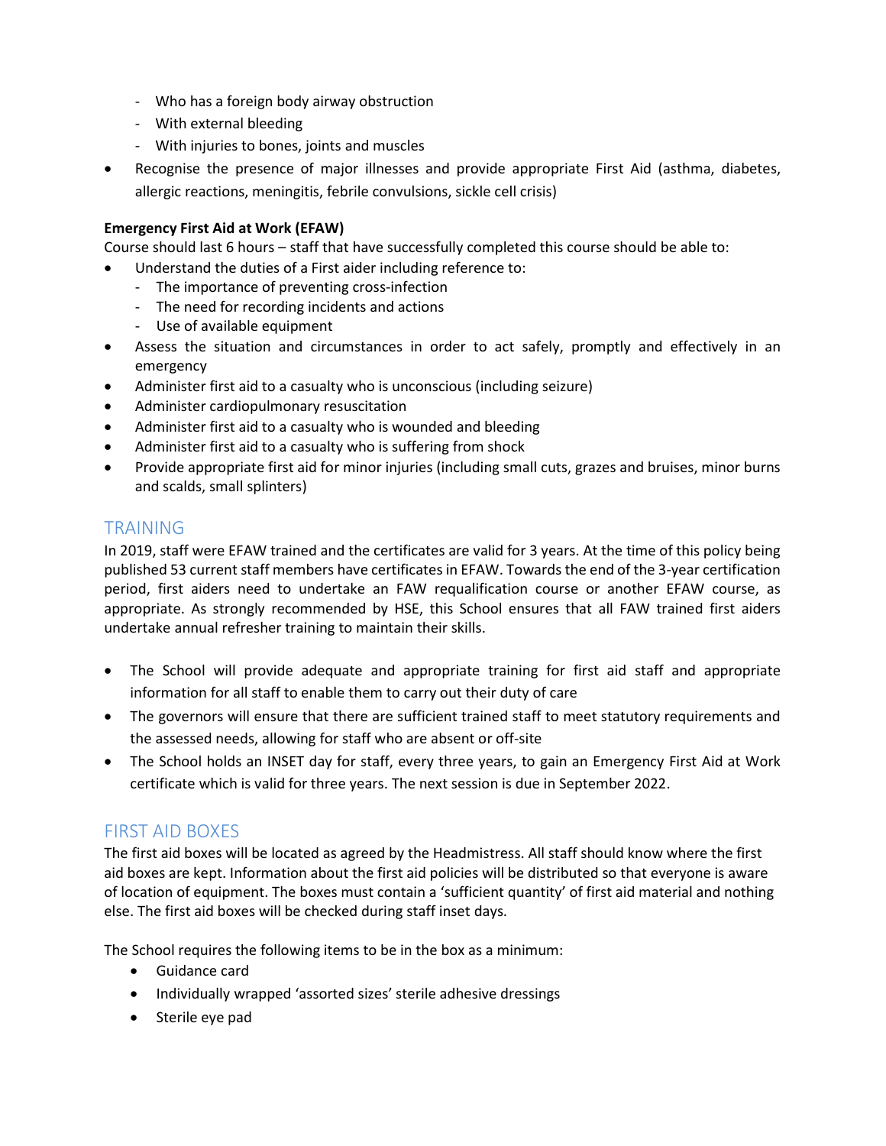- Who has a foreign body airway obstruction
- With external bleeding
- With injuries to bones, joints and muscles
- Recognise the presence of major illnesses and provide appropriate First Aid (asthma, diabetes, allergic reactions, meningitis, febrile convulsions, sickle cell crisis)

### Emergency First Aid at Work (EFAW)

Course should last 6 hours – staff that have successfully completed this course should be able to:

- Understand the duties of a First aider including reference to:
	- The importance of preventing cross-infection
	- The need for recording incidents and actions
	- Use of available equipment
- Assess the situation and circumstances in order to act safely, promptly and effectively in an emergency
- Administer first aid to a casualty who is unconscious (including seizure)
- Administer cardiopulmonary resuscitation
- Administer first aid to a casualty who is wounded and bleeding
- Administer first aid to a casualty who is suffering from shock
- Provide appropriate first aid for minor injuries (including small cuts, grazes and bruises, minor burns and scalds, small splinters)

### TRAINING

In 2019, staff were EFAW trained and the certificates are valid for 3 years. At the time of this policy being published 53 current staff members have certificates in EFAW. Towards the end of the 3-year certification period, first aiders need to undertake an FAW requalification course or another EFAW course, as appropriate. As strongly recommended by HSE, this School ensures that all FAW trained first aiders undertake annual refresher training to maintain their skills.

- The School will provide adequate and appropriate training for first aid staff and appropriate information for all staff to enable them to carry out their duty of care
- The governors will ensure that there are sufficient trained staff to meet statutory requirements and the assessed needs, allowing for staff who are absent or off-site
- The School holds an INSET day for staff, every three years, to gain an Emergency First Aid at Work certificate which is valid for three years. The next session is due in September 2022.

## FIRST AID BOXES

The first aid boxes will be located as agreed by the Headmistress. All staff should know where the first aid boxes are kept. Information about the first aid policies will be distributed so that everyone is aware of location of equipment. The boxes must contain a 'sufficient quantity' of first aid material and nothing else. The first aid boxes will be checked during staff inset days.

The School requires the following items to be in the box as a minimum:

- Guidance card
- Individually wrapped 'assorted sizes' sterile adhesive dressings
- Sterile eye pad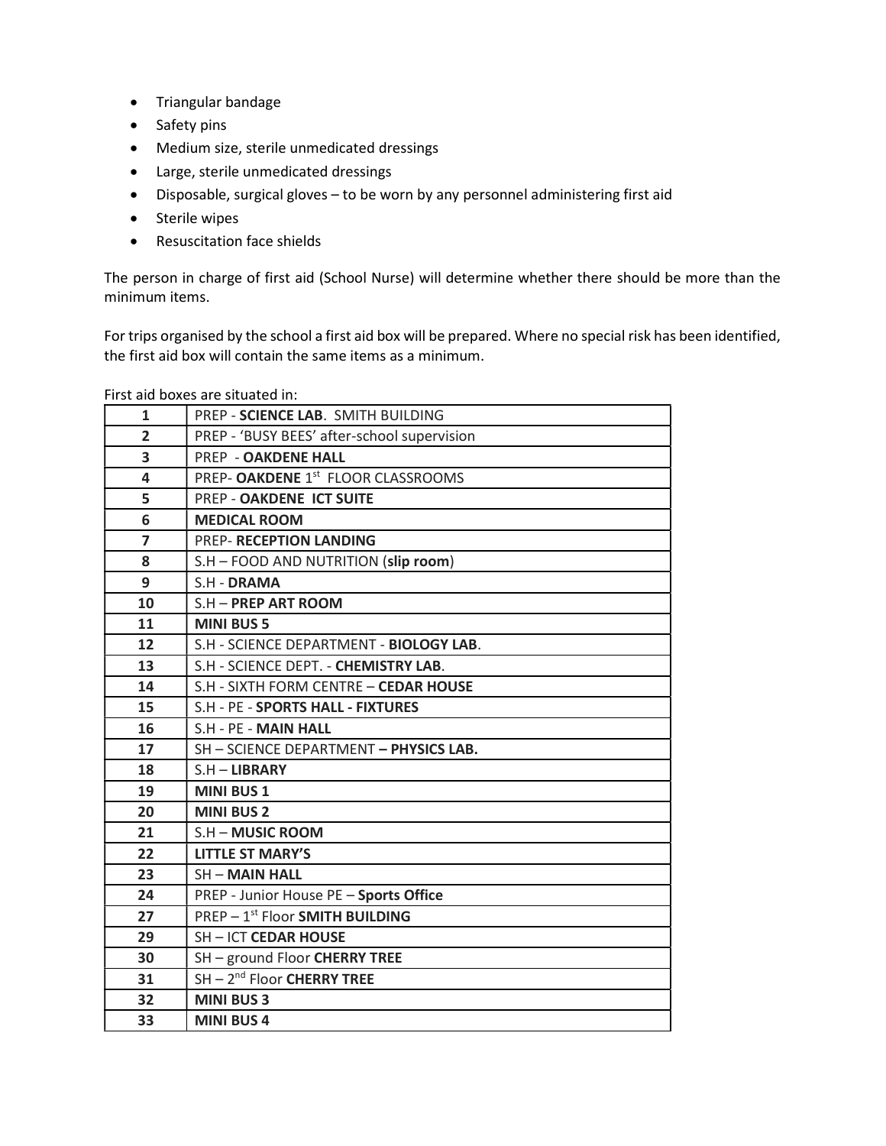- Triangular bandage
- Safety pins
- Medium size, sterile unmedicated dressings
- Large, sterile unmedicated dressings
- Disposable, surgical gloves to be worn by any personnel administering first aid
- Sterile wipes
- Resuscitation face shields

The person in charge of first aid (School Nurse) will determine whether there should be more than the minimum items.

For trips organised by the school a first aid box will be prepared. Where no special risk has been identified, the first aid box will contain the same items as a minimum.

|                         | , ,, ,, and boxes are situated ,,,,         |
|-------------------------|---------------------------------------------|
| $\mathbf{1}$            | PREP - SCIENCE LAB. SMITH BUILDING          |
| $\overline{2}$          | PREP - 'BUSY BEES' after-school supervision |
| 3                       | <b>PREP - OAKDENE HALL</b>                  |
| $\overline{\mathbf{4}}$ | PREP- OAKDENE 1st FLOOR CLASSROOMS          |
| 5                       | PREP - OAKDENE ICT SUITE                    |
| 6                       | <b>MEDICAL ROOM</b>                         |
| $\overline{7}$          | <b>PREP- RECEPTION LANDING</b>              |
| 8                       | S.H - FOOD AND NUTRITION (slip room)        |
| 9                       | S.H - DRAMA                                 |
| 10                      | S.H - PREP ART ROOM                         |
| 11                      | <b>MINI BUS 5</b>                           |
| 12                      | S.H - SCIENCE DEPARTMENT - BIOLOGY LAB.     |
| 13                      | S.H - SCIENCE DEPT. - CHEMISTRY LAB.        |
| 14                      | S.H - SIXTH FORM CENTRE - CEDAR HOUSE       |
| 15                      | S.H - PE - SPORTS HALL - FIXTURES           |
| 16                      | S.H - PE - MAIN HALL                        |
| 17                      | SH - SCIENCE DEPARTMENT - PHYSICS LAB.      |
| 18                      | $S.H - LIBRARY$                             |
| 19                      | <b>MINI BUS 1</b>                           |
| 20                      | <b>MINI BUS 2</b>                           |
| 21                      | S.H - MUSIC ROOM                            |
| 22                      | <b>LITTLE ST MARY'S</b>                     |
| 23                      | <b>SH-MAIN HALL</b>                         |
| 24                      | PREP - Junior House PE - Sports Office      |
| 27                      | PREP - 1st Floor SMITH BUILDING             |
| 29                      | SH-ICT CEDAR HOUSE                          |
| 30                      | SH - ground Floor CHERRY TREE               |
| 31                      | $SH - 2nd$ Floor CHERRY TREE                |
| 32                      | <b>MINI BUS 3</b>                           |
| 33                      | <b>MINI BUS4</b>                            |

First aid boxes are situated in: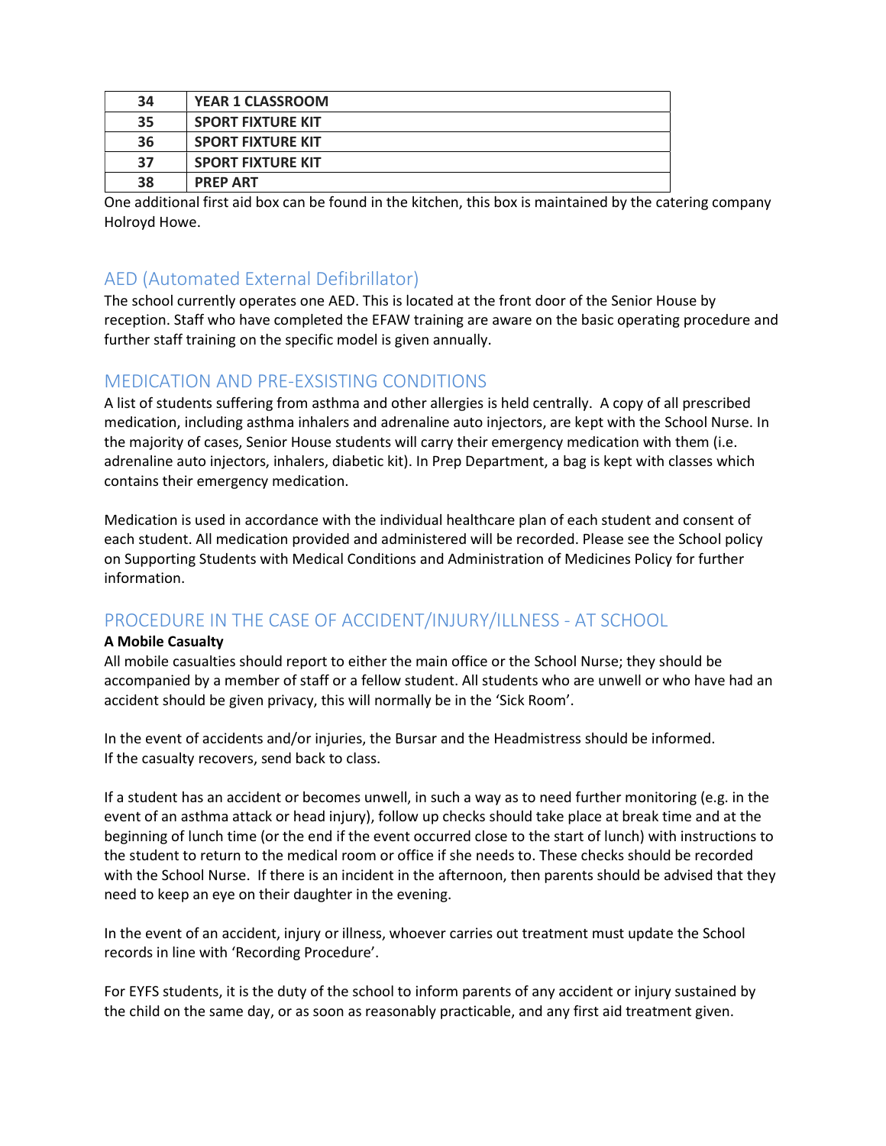| 34 | <b>YEAR 1 CLASSROOM</b>  |
|----|--------------------------|
| 35 | <b>SPORT FIXTURE KIT</b> |
| 36 | <b>SPORT FIXTURE KIT</b> |
| 37 | <b>SPORT FIXTURE KIT</b> |
| 38 | <b>PREP ART</b>          |

One additional first aid box can be found in the kitchen, this box is maintained by the catering company Holroyd Howe.

## AED (Automated External Defibrillator)

The school currently operates one AED. This is located at the front door of the Senior House by reception. Staff who have completed the EFAW training are aware on the basic operating procedure and further staff training on the specific model is given annually.

## MEDICATION AND PRE-EXSISTING CONDITIONS

A list of students suffering from asthma and other allergies is held centrally. A copy of all prescribed medication, including asthma inhalers and adrenaline auto injectors, are kept with the School Nurse. In the majority of cases, Senior House students will carry their emergency medication with them (i.e. adrenaline auto injectors, inhalers, diabetic kit). In Prep Department, a bag is kept with classes which contains their emergency medication.

Medication is used in accordance with the individual healthcare plan of each student and consent of each student. All medication provided and administered will be recorded. Please see the School policy on Supporting Students with Medical Conditions and Administration of Medicines Policy for further information.

## PROCEDURE IN THE CASE OF ACCIDENT/INJURY/ILLNESS - AT SCHOOL

### A Mobile Casualty

All mobile casualties should report to either the main office or the School Nurse; they should be accompanied by a member of staff or a fellow student. All students who are unwell or who have had an accident should be given privacy, this will normally be in the 'Sick Room'.

In the event of accidents and/or injuries, the Bursar and the Headmistress should be informed. If the casualty recovers, send back to class.

If a student has an accident or becomes unwell, in such a way as to need further monitoring (e.g. in the event of an asthma attack or head injury), follow up checks should take place at break time and at the beginning of lunch time (or the end if the event occurred close to the start of lunch) with instructions to the student to return to the medical room or office if she needs to. These checks should be recorded with the School Nurse. If there is an incident in the afternoon, then parents should be advised that they need to keep an eye on their daughter in the evening.

In the event of an accident, injury or illness, whoever carries out treatment must update the School records in line with 'Recording Procedure'.

For EYFS students, it is the duty of the school to inform parents of any accident or injury sustained by the child on the same day, or as soon as reasonably practicable, and any first aid treatment given.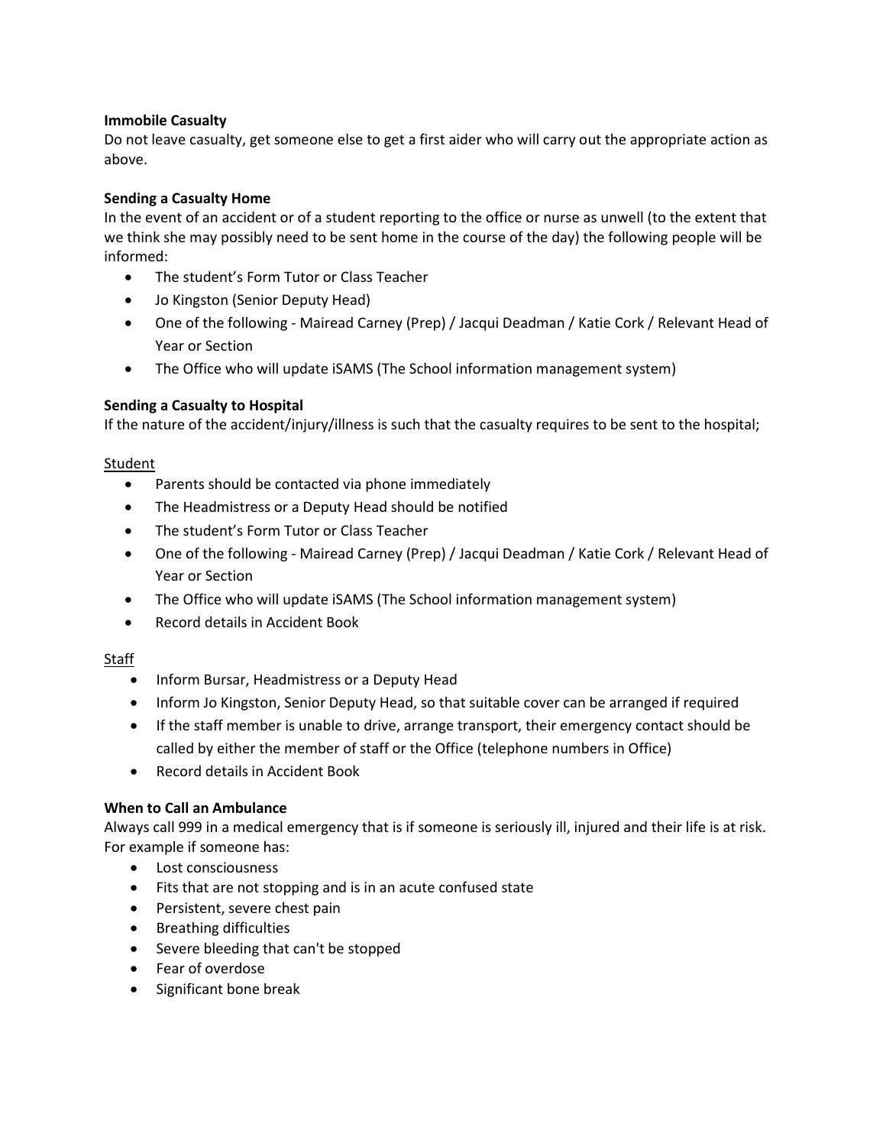### Immobile Casualty

Do not leave casualty, get someone else to get a first aider who will carry out the appropriate action as above.

### Sending a Casualty Home

In the event of an accident or of a student reporting to the office or nurse as unwell (to the extent that we think she may possibly need to be sent home in the course of the day) the following people will be informed:

- The student's Form Tutor or Class Teacher
- Jo Kingston (Senior Deputy Head)
- One of the following Mairead Carney (Prep) / Jacqui Deadman / Katie Cork / Relevant Head of Year or Section
- The Office who will update iSAMS (The School information management system)

### Sending a Casualty to Hospital

If the nature of the accident/injury/illness is such that the casualty requires to be sent to the hospital;

### **Student**

- Parents should be contacted via phone immediately
- The Headmistress or a Deputy Head should be notified
- The student's Form Tutor or Class Teacher
- One of the following Mairead Carney (Prep) / Jacqui Deadman / Katie Cork / Relevant Head of Year or Section
- The Office who will update iSAMS (The School information management system)
- Record details in Accident Book

### Staff

- Inform Bursar, Headmistress or a Deputy Head
- Inform Jo Kingston, Senior Deputy Head, so that suitable cover can be arranged if required
- If the staff member is unable to drive, arrange transport, their emergency contact should be called by either the member of staff or the Office (telephone numbers in Office)
- Record details in Accident Book

### When to Call an Ambulance

Always call 999 in a medical emergency that is if someone is seriously ill, injured and their life is at risk. For example if someone has:

- Lost consciousness
- Fits that are not stopping and is in an acute confused state
- Persistent, severe chest pain
- Breathing difficulties
- Severe bleeding that can't be stopped
- Fear of overdose
- Significant bone break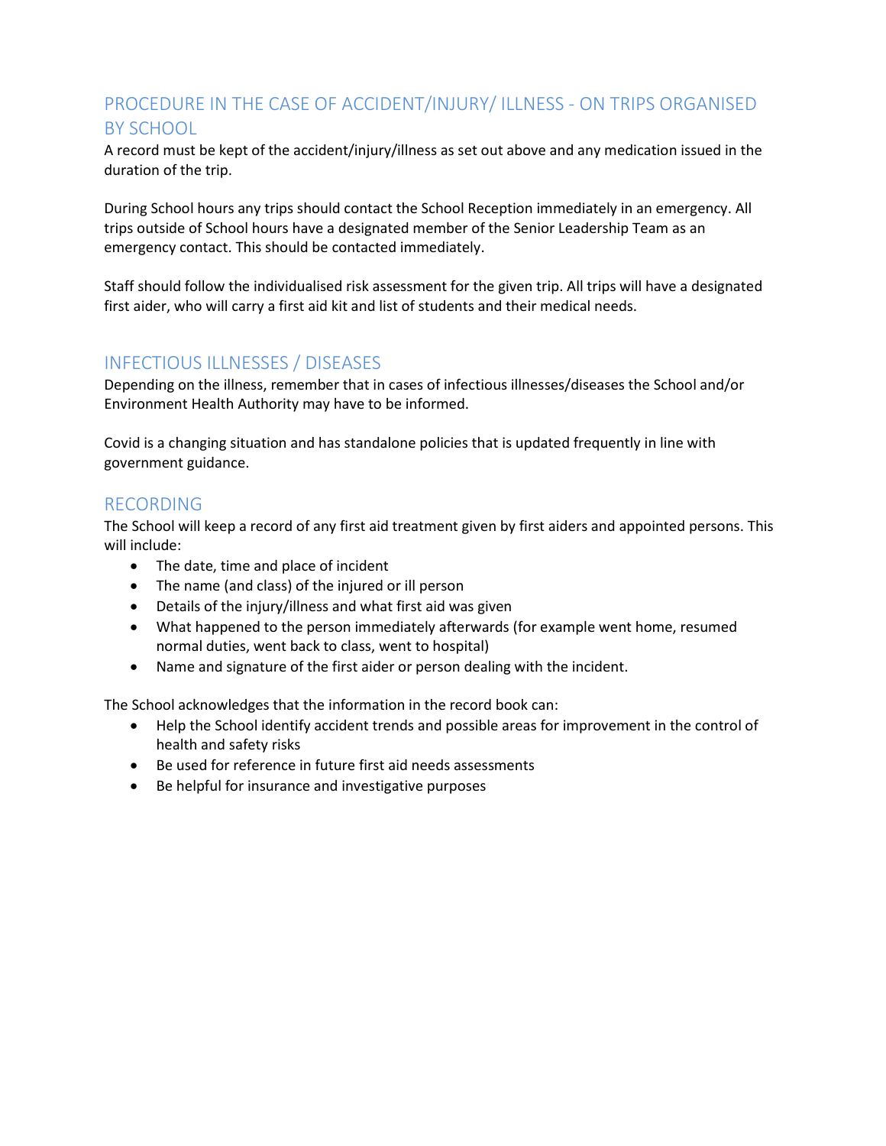# PROCEDURE IN THE CASE OF ACCIDENT/INJURY/ ILLNESS - ON TRIPS ORGANISED BY SCHOOL

A record must be kept of the accident/injury/illness as set out above and any medication issued in the duration of the trip.

During School hours any trips should contact the School Reception immediately in an emergency. All trips outside of School hours have a designated member of the Senior Leadership Team as an emergency contact. This should be contacted immediately.

Staff should follow the individualised risk assessment for the given trip. All trips will have a designated first aider, who will carry a first aid kit and list of students and their medical needs.

## INFECTIOUS ILLNESSES / DISEASES

Depending on the illness, remember that in cases of infectious illnesses/diseases the School and/or Environment Health Authority may have to be informed.

Covid is a changing situation and has standalone policies that is updated frequently in line with government guidance.

## RECORDING

The School will keep a record of any first aid treatment given by first aiders and appointed persons. This will include:

- The date, time and place of incident
- The name (and class) of the injured or ill person
- Details of the injury/illness and what first aid was given
- What happened to the person immediately afterwards (for example went home, resumed normal duties, went back to class, went to hospital)
- Name and signature of the first aider or person dealing with the incident.

The School acknowledges that the information in the record book can:

- Help the School identify accident trends and possible areas for improvement in the control of health and safety risks
- Be used for reference in future first aid needs assessments
- Be helpful for insurance and investigative purposes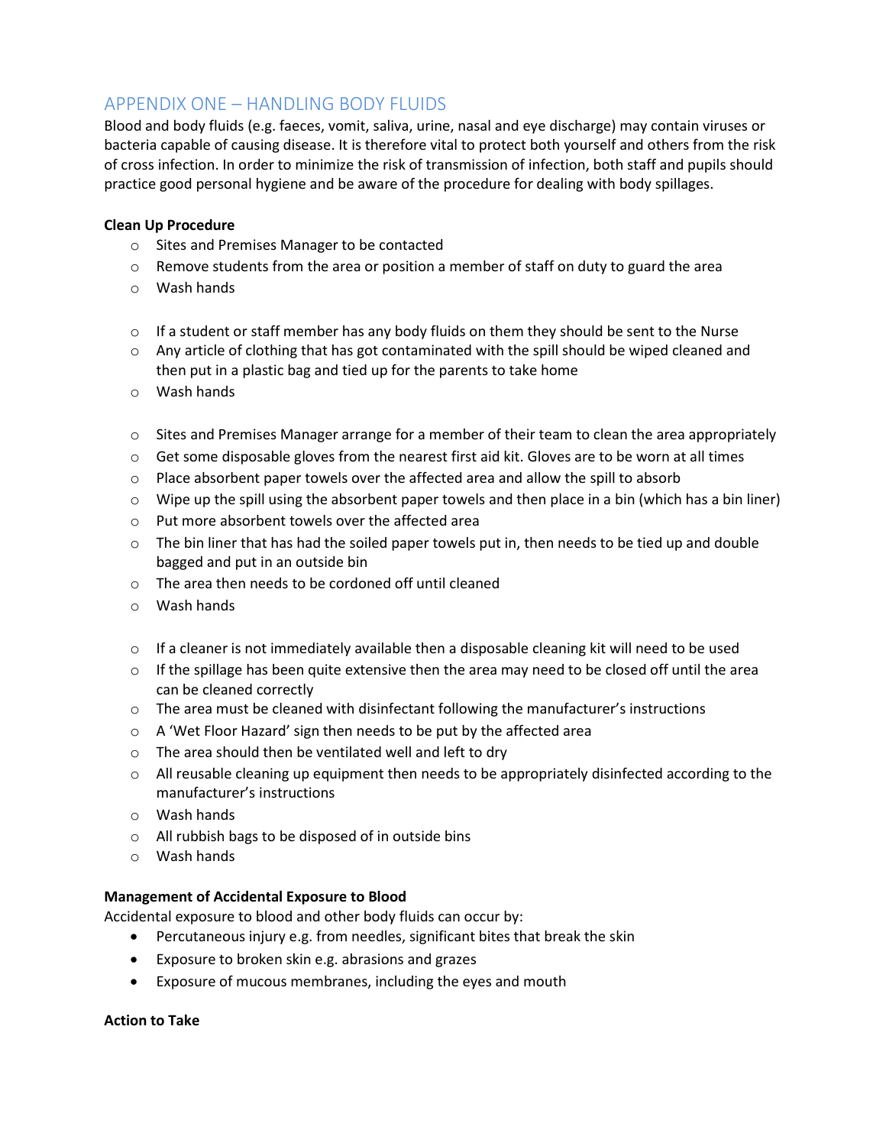## APPENDIX ONE – HANDLING BODY FLUIDS

Blood and body fluids (e.g. faeces, vomit, saliva, urine, nasal and eye discharge) may contain viruses or bacteria capable of causing disease. It is therefore vital to protect both yourself and others from the risk of cross infection. In order to minimize the risk of transmission of infection, both staff and pupils should practice good personal hygiene and be aware of the procedure for dealing with body spillages.

### Clean Up Procedure

- o Sites and Premises Manager to be contacted
- $\circ$  Remove students from the area or position a member of staff on duty to guard the area
- o Wash hands
- $\circ$  If a student or staff member has any body fluids on them they should be sent to the Nurse
- $\circ$  Any article of clothing that has got contaminated with the spill should be wiped cleaned and then put in a plastic bag and tied up for the parents to take home
- o Wash hands
- $\circ$  Sites and Premises Manager arrange for a member of their team to clean the area appropriately
- $\circ$  Get some disposable gloves from the nearest first aid kit. Gloves are to be worn at all times
- $\circ$  Place absorbent paper towels over the affected area and allow the spill to absorb
- $\circ$  Wipe up the spill using the absorbent paper towels and then place in a bin (which has a bin liner)
- o Put more absorbent towels over the affected area
- $\circ$  The bin liner that has had the soiled paper towels put in, then needs to be tied up and double bagged and put in an outside bin
- o The area then needs to be cordoned off until cleaned
- o Wash hands
- $\circ$  If a cleaner is not immediately available then a disposable cleaning kit will need to be used
- $\circ$  If the spillage has been quite extensive then the area may need to be closed off until the area can be cleaned correctly
- $\circ$  The area must be cleaned with disinfectant following the manufacturer's instructions
- o A 'Wet Floor Hazard' sign then needs to be put by the affected area
- o The area should then be ventilated well and left to dry
- $\circ$  All reusable cleaning up equipment then needs to be appropriately disinfected according to the manufacturer's instructions
- o Wash hands
- o All rubbish bags to be disposed of in outside bins
- o Wash hands

#### Management of Accidental Exposure to Blood

Accidental exposure to blood and other body fluids can occur by:

- Percutaneous injury e.g. from needles, significant bites that break the skin
- Exposure to broken skin e.g. abrasions and grazes
- Exposure of mucous membranes, including the eyes and mouth

#### Action to Take